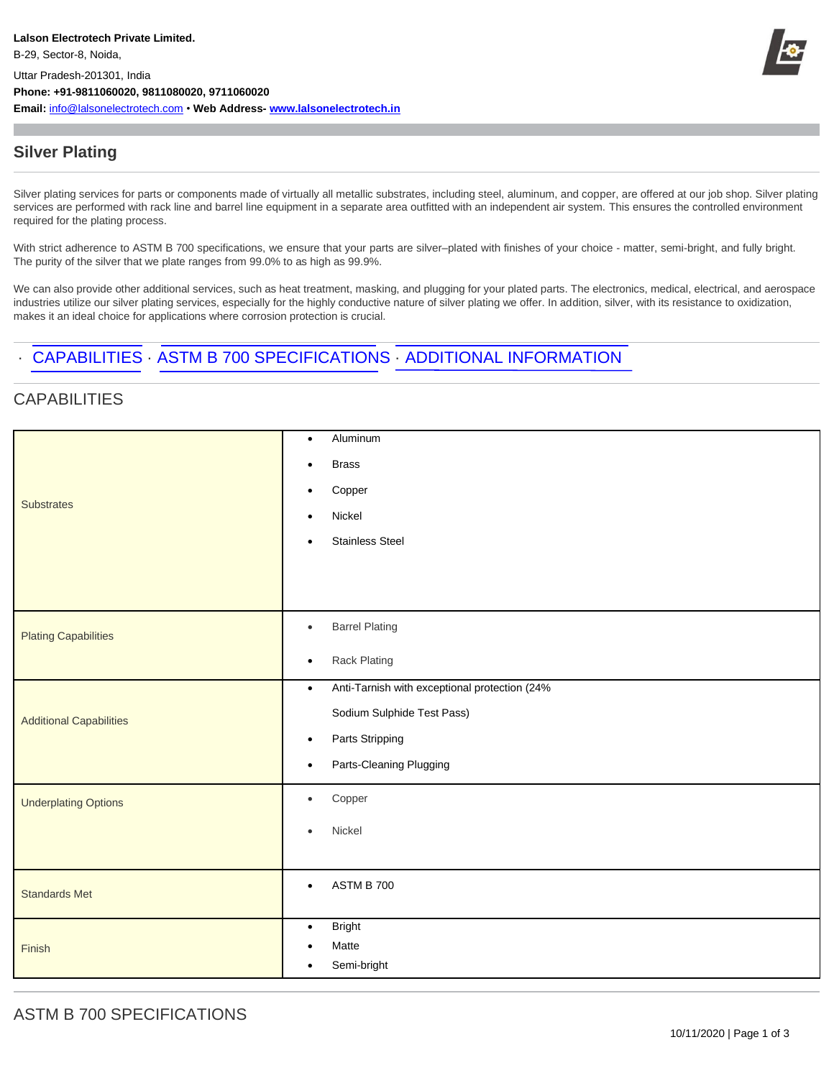**Email:** info@lalsonelectrotech.com • **Web Address- www.lalsonelectrotech.in**



## **Silver Plating**

Silver plating services for parts or components made of virtually all metallic substrates, including steel, aluminum, and copper, are offered at our job shop. Silver plating services are performed with rack line and barrel line equipment in a separate area outfitted with an independent air system. This ensures the controlled environment required for the plating process.

With strict adherence to ASTM B 700 specifications, we ensure that your parts are silver–plated with finishes of your choice - matter, semi-bright, and fully bright. The purity of the silver that we plate ranges from 99.0% to as high as 99.9%.

We can also provide other additional services, such as heat treatment, masking, and plugging for your plated parts. The electronics, medical, electrical, and aerospace industries utilize our silver plating services, especially for the highly conductive nature of silver plating we offer. In addition, silver, with its resistance to oxidization, makes it an ideal choice for applications where corrosion protection is crucial.

## · CAPABILITIES · ASTM B 700 SPECIFICATIONS · ADDITIONAL INFORMATION

## **CAPABILITIES**

| <b>Substrates</b>              | Aluminum<br>$\bullet$                                      |
|--------------------------------|------------------------------------------------------------|
|                                | <b>Brass</b><br>$\bullet$                                  |
|                                | Copper<br>$\bullet$                                        |
|                                | Nickel<br>$\bullet$                                        |
|                                | <b>Stainless Steel</b><br>$\bullet$                        |
|                                |                                                            |
|                                |                                                            |
| <b>Plating Capabilities</b>    | <b>Barrel Plating</b><br>$\bullet$                         |
|                                | Rack Plating<br>$\bullet$                                  |
| <b>Additional Capabilities</b> | Anti-Tarnish with exceptional protection (24%<br>$\bullet$ |
|                                | Sodium Sulphide Test Pass)                                 |
|                                | Parts Stripping<br>$\bullet$                               |
|                                | Parts-Cleaning Plugging<br>$\bullet$                       |
| <b>Underplating Options</b>    | Copper<br>$\bullet$                                        |
|                                | Nickel<br>$\bullet$                                        |
|                                |                                                            |
| <b>Standards Met</b>           | ASTM B 700<br>$\bullet$                                    |
|                                |                                                            |
| Finish                         | <b>Bright</b><br>$\bullet$                                 |
|                                | Matte<br>$\bullet$<br>Semi-bright<br>$\bullet$             |
|                                |                                                            |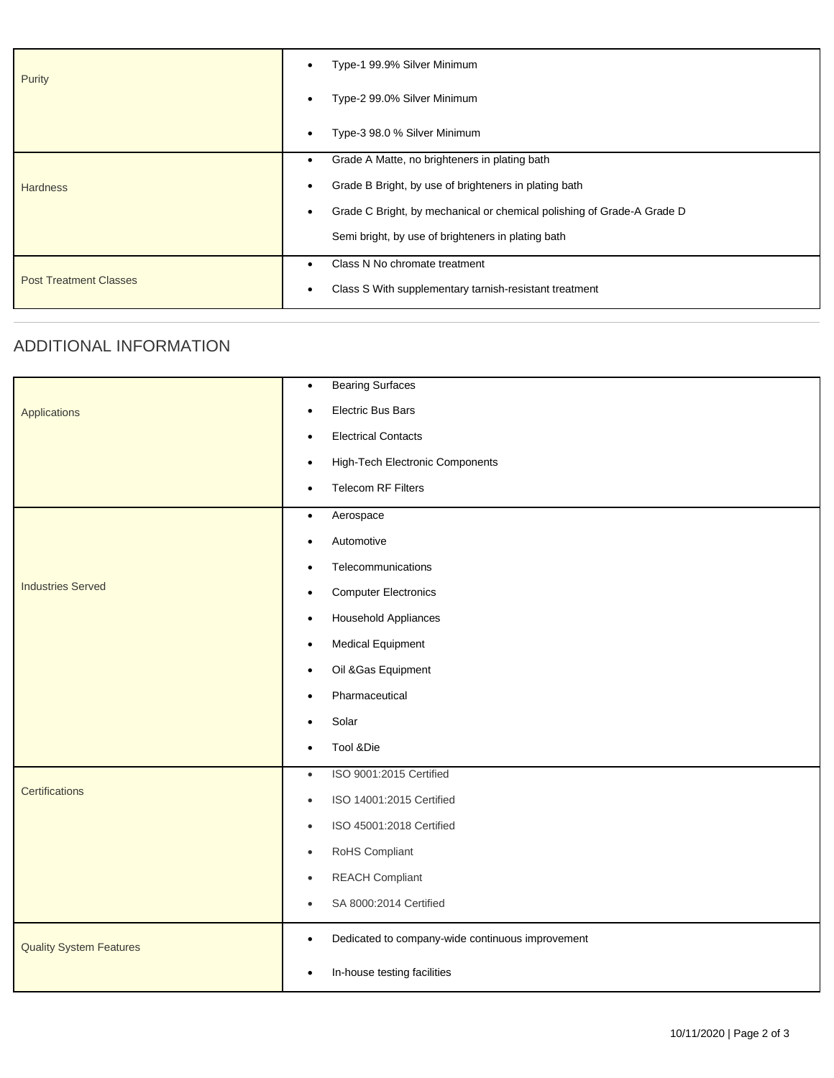| Purity                        | Type-1 99.9% Silver Minimum<br>$\bullet$                                            |
|-------------------------------|-------------------------------------------------------------------------------------|
|                               | Type-2 99.0% Silver Minimum<br>$\bullet$                                            |
|                               | Type-3 98.0 % Silver Minimum<br>٠                                                   |
|                               | Grade A Matte, no brighteners in plating bath<br>٠                                  |
| <b>Hardness</b>               | Grade B Bright, by use of brighteners in plating bath<br>$\bullet$                  |
|                               | Grade C Bright, by mechanical or chemical polishing of Grade-A Grade D<br>$\bullet$ |
|                               | Semi bright, by use of brighteners in plating bath                                  |
| <b>Post Treatment Classes</b> | Class N No chromate treatment<br>٠                                                  |
|                               | Class S With supplementary tarnish-resistant treatment<br>٠                         |

## ADDITIONAL INFORMATION

|                                | <b>Bearing Surfaces</b><br>$\bullet$                          |
|--------------------------------|---------------------------------------------------------------|
| Applications                   | Electric Bus Bars<br>$\bullet$                                |
|                                | <b>Electrical Contacts</b><br>$\bullet$                       |
|                                | High-Tech Electronic Components<br>$\bullet$                  |
|                                | <b>Telecom RF Filters</b><br>$\bullet$                        |
|                                | Aerospace<br>$\bullet$                                        |
|                                | Automotive<br>$\bullet$                                       |
|                                | Telecommunications<br>$\bullet$                               |
| <b>Industries Served</b>       | <b>Computer Electronics</b><br>$\bullet$                      |
|                                | <b>Household Appliances</b><br>$\bullet$                      |
|                                | <b>Medical Equipment</b><br>$\bullet$                         |
|                                | Oil & Gas Equipment<br>$\bullet$                              |
|                                | Pharmaceutical<br>$\bullet$                                   |
|                                | Solar<br>$\bullet$                                            |
|                                | Tool &Die<br>$\bullet$                                        |
|                                | ISO 9001:2015 Certified<br>$\bullet$                          |
| Certifications                 | ISO 14001:2015 Certified<br>$\bullet$                         |
|                                | ISO 45001:2018 Certified<br>$\bullet$                         |
|                                | RoHS Compliant<br>$\bullet$                                   |
|                                | <b>REACH Compliant</b><br>$\bullet$                           |
|                                | SA 8000:2014 Certified<br>$\bullet$                           |
| <b>Quality System Features</b> | Dedicated to company-wide continuous improvement<br>$\bullet$ |
|                                | In-house testing facilities<br>$\bullet$                      |